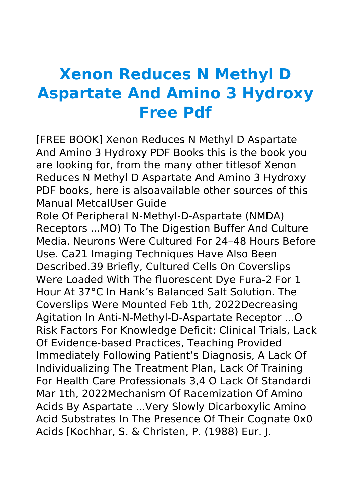## **Xenon Reduces N Methyl D Aspartate And Amino 3 Hydroxy Free Pdf**

[FREE BOOK] Xenon Reduces N Methyl D Aspartate And Amino 3 Hydroxy PDF Books this is the book you are looking for, from the many other titlesof Xenon Reduces N Methyl D Aspartate And Amino 3 Hydroxy PDF books, here is alsoavailable other sources of this Manual MetcalUser Guide

Role Of Peripheral N-Methyl-D-Aspartate (NMDA) Receptors ...MO) To The Digestion Buffer And Culture Media. Neurons Were Cultured For 24–48 Hours Before Use. Ca21 Imaging Techniques Have Also Been Described.39 Briefly, Cultured Cells On Coverslips Were Loaded With The fluorescent Dye Fura-2 For 1 Hour At 37°C In Hank's Balanced Salt Solution. The Coverslips Were Mounted Feb 1th, 2022Decreasing Agitation In Anti-N-Methyl-D-Aspartate Receptor ...O Risk Factors For Knowledge Deficit: Clinical Trials, Lack Of Evidence-based Practices, Teaching Provided Immediately Following Patient's Diagnosis, A Lack Of Individualizing The Treatment Plan, Lack Of Training For Health Care Professionals 3,4 O Lack Of Standardi Mar 1th, 2022Mechanism Of Racemization Of Amino Acids By Aspartate ...Very Slowly Dicarboxylic Amino Acid Substrates In The Presence Of Their Cognate 0x0 Acids [Kochhar, S. & Christen, P. (1988) Eur. J.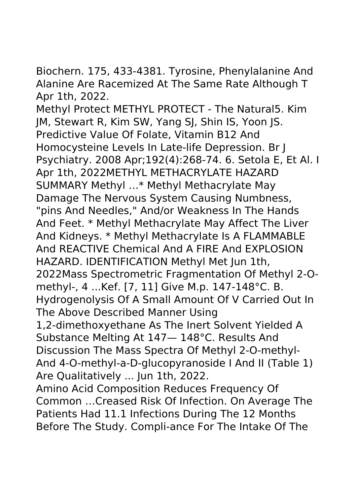Biochern. 175, 433-4381. Tyrosine, Phenylalanine And Alanine Are Racemized At The Same Rate Although T Apr 1th, 2022.

Methyl Protect METHYL PROTECT - The Natural5. Kim JM, Stewart R, Kim SW, Yang SJ, Shin IS, Yoon JS. Predictive Value Of Folate, Vitamin B12 And Homocysteine Levels In Late-life Depression. Br J Psychiatry. 2008 Apr;192(4):268-74. 6. Setola E, Et Al. I Apr 1th, 2022METHYL METHACRYLATE HAZARD SUMMARY Methyl …\* Methyl Methacrylate May Damage The Nervous System Causing Numbness, "pins And Needles," And/or Weakness In The Hands And Feet. \* Methyl Methacrylate May Affect The Liver And Kidneys. \* Methyl Methacrylate Is A FLAMMABLE And REACTIVE Chemical And A FIRE And EXPLOSION HAZARD. IDENTIFICATION Methyl Met Jun 1th, 2022Mass Spectrometric Fragmentation Of Methyl 2-Omethyl-, 4 ...Kef. [7, 11] Give M.p. 147-148°C. B. Hydrogenolysis Of A Small Amount Of V Carried Out In The Above Described Manner Using 1,2-dimethoxyethane As The Inert Solvent Yielded A Substance Melting At 147— 148°C. Results And Discussion The Mass Spectra Of Methyl 2-O-methyl-And 4-O-methyl-a-D-glucopyranoside I And II (Table 1) Are Qualitatively ... Jun 1th, 2022. Amino Acid Composition Reduces Frequency Of Common …Creased Risk Of Infection. On Average The Patients Had 11.1 Infections During The 12 Months Before The Study. Compli-ance For The Intake Of The